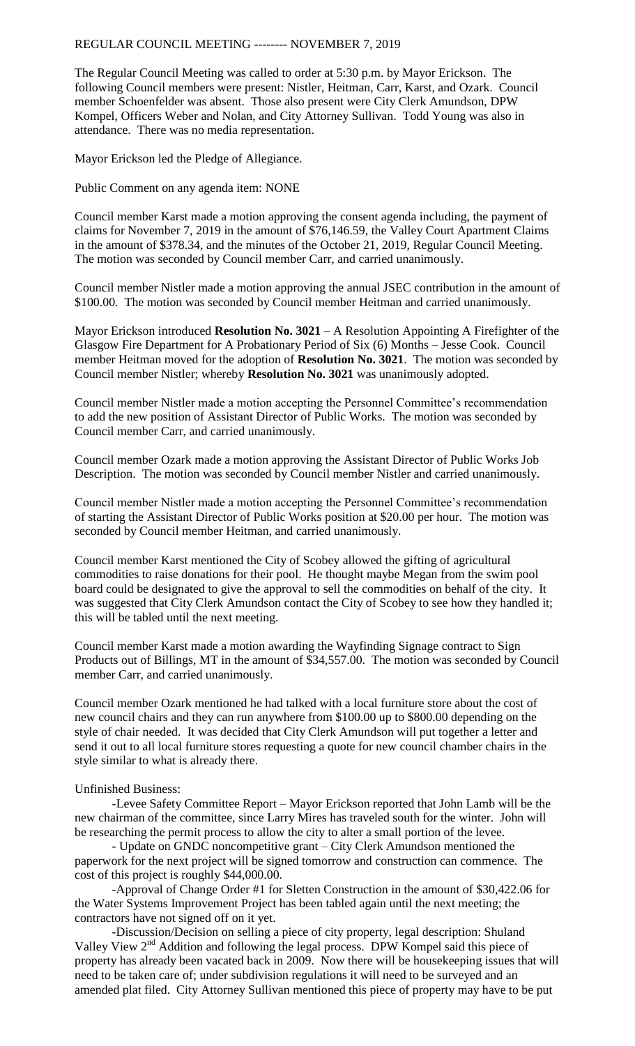REGULAR COUNCIL MEETING -------- NOVEMBER 7, 2019

The Regular Council Meeting was called to order at 5:30 p.m. by Mayor Erickson. The following Council members were present: Nistler, Heitman, Carr, Karst, and Ozark. Council member Schoenfelder was absent. Those also present were City Clerk Amundson, DPW Kompel, Officers Weber and Nolan, and City Attorney Sullivan. Todd Young was also in attendance. There was no media representation.

Mayor Erickson led the Pledge of Allegiance.

Public Comment on any agenda item: NONE

Council member Karst made a motion approving the consent agenda including, the payment of claims for November 7, 2019 in the amount of \$76,146.59, the Valley Court Apartment Claims in the amount of \$378.34, and the minutes of the October 21, 2019, Regular Council Meeting. The motion was seconded by Council member Carr, and carried unanimously.

Council member Nistler made a motion approving the annual JSEC contribution in the amount of \$100.00. The motion was seconded by Council member Heitman and carried unanimously.

Mayor Erickson introduced **Resolution No. 3021** – A Resolution Appointing A Firefighter of the Glasgow Fire Department for A Probationary Period of Six (6) Months – Jesse Cook. Council member Heitman moved for the adoption of **Resolution No. 3021**. The motion was seconded by Council member Nistler; whereby **Resolution No. 3021** was unanimously adopted.

Council member Nistler made a motion accepting the Personnel Committee's recommendation to add the new position of Assistant Director of Public Works. The motion was seconded by Council member Carr, and carried unanimously.

Council member Ozark made a motion approving the Assistant Director of Public Works Job Description. The motion was seconded by Council member Nistler and carried unanimously.

Council member Nistler made a motion accepting the Personnel Committee's recommendation of starting the Assistant Director of Public Works position at \$20.00 per hour. The motion was seconded by Council member Heitman, and carried unanimously.

Council member Karst mentioned the City of Scobey allowed the gifting of agricultural commodities to raise donations for their pool. He thought maybe Megan from the swim pool board could be designated to give the approval to sell the commodities on behalf of the city. It was suggested that City Clerk Amundson contact the City of Scobey to see how they handled it; this will be tabled until the next meeting.

Council member Karst made a motion awarding the Wayfinding Signage contract to Sign Products out of Billings, MT in the amount of \$34,557.00. The motion was seconded by Council member Carr, and carried unanimously.

Council member Ozark mentioned he had talked with a local furniture store about the cost of new council chairs and they can run anywhere from \$100.00 up to \$800.00 depending on the style of chair needed. It was decided that City Clerk Amundson will put together a letter and send it out to all local furniture stores requesting a quote for new council chamber chairs in the style similar to what is already there.

## Unfinished Business:

-Levee Safety Committee Report – Mayor Erickson reported that John Lamb will be the new chairman of the committee, since Larry Mires has traveled south for the winter. John will be researching the permit process to allow the city to alter a small portion of the levee.

- Update on GNDC noncompetitive grant – City Clerk Amundson mentioned the paperwork for the next project will be signed tomorrow and construction can commence. The cost of this project is roughly \$44,000.00.

-Approval of Change Order #1 for Sletten Construction in the amount of \$30,422.06 for the Water Systems Improvement Project has been tabled again until the next meeting; the contractors have not signed off on it yet.

-Discussion/Decision on selling a piece of city property, legal description: Shuland Valley View 2<sup>nd</sup> Addition and following the legal process. DPW Kompel said this piece of property has already been vacated back in 2009. Now there will be housekeeping issues that will need to be taken care of; under subdivision regulations it will need to be surveyed and an amended plat filed. City Attorney Sullivan mentioned this piece of property may have to be put